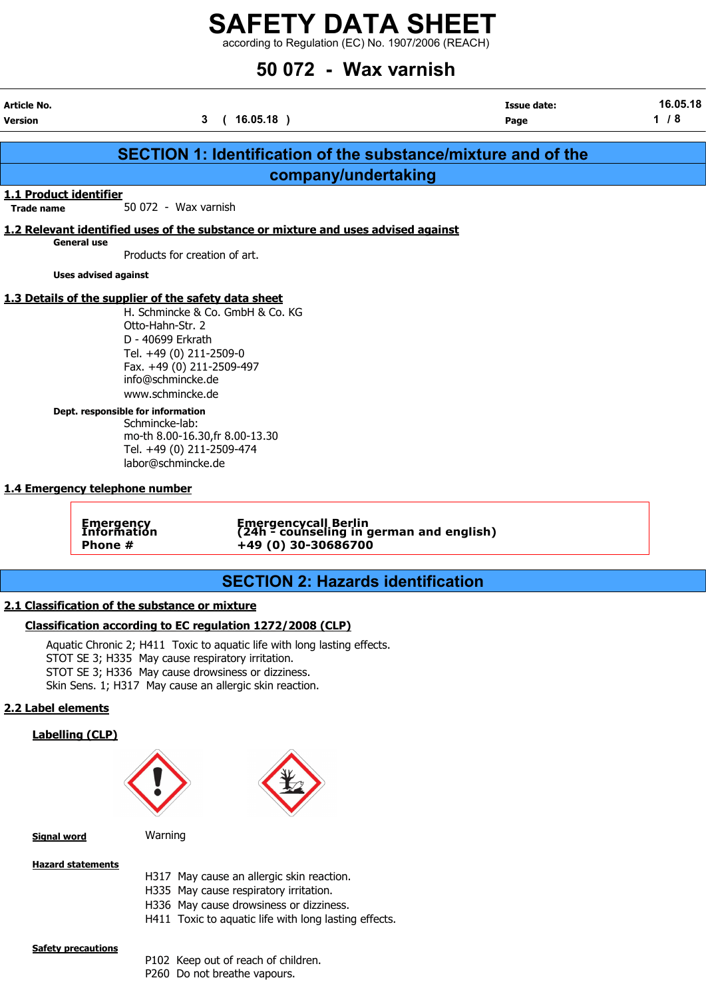according to Regulation (EC) No. 1907/2006 (REACH)

## 50 072 - Wax varnish

| Article No.<br>Version                      |                                                                                                                                                                                                                                                                                                          | 3(16.05.18)                                                                             | <b>Issue date:</b><br>Page                                           | 16.05.18<br>$1/8$ |
|---------------------------------------------|----------------------------------------------------------------------------------------------------------------------------------------------------------------------------------------------------------------------------------------------------------------------------------------------------------|-----------------------------------------------------------------------------------------|----------------------------------------------------------------------|-------------------|
|                                             |                                                                                                                                                                                                                                                                                                          |                                                                                         | <b>SECTION 1: Identification of the substance/mixture and of the</b> |                   |
|                                             |                                                                                                                                                                                                                                                                                                          | company/undertaking                                                                     |                                                                      |                   |
| 1.1 Product identifier<br><b>Trade name</b> | 50 072 - Wax varnish                                                                                                                                                                                                                                                                                     |                                                                                         |                                                                      |                   |
|                                             | <b>General use</b><br>Products for creation of art.                                                                                                                                                                                                                                                      | 1.2 Relevant identified uses of the substance or mixture and uses advised against       |                                                                      |                   |
|                                             | <b>Uses advised against</b>                                                                                                                                                                                                                                                                              |                                                                                         |                                                                      |                   |
|                                             | 1.3 Details of the supplier of the safety data sheet<br>Otto-Hahn-Str. 2<br>D - 40699 Erkrath<br>Tel. +49 (0) 211-2509-0<br>Fax. +49 (0) 211-2509-497<br>info@schmincke.de<br>www.schmincke.de<br>Dept. responsible for information<br>Schmincke-lab:<br>Tel. +49 (0) 211-2509-474<br>labor@schmincke.de | H. Schmincke & Co. GmbH & Co. KG<br>mo-th 8.00-16.30, fr 8.00-13.30                     |                                                                      |                   |
|                                             | 1.4 Emergency telephone number<br><b>Emergency</b><br>Information<br>Phone #                                                                                                                                                                                                                             | Emergencycall Berlin<br>(24h - counseling in german and english)<br>+49 (0) 30-30686700 |                                                                      |                   |
|                                             |                                                                                                                                                                                                                                                                                                          | <b>SECTION 2: Hazards identification</b>                                                |                                                                      |                   |
|                                             | 2.1 Classification of the substance or mixture                                                                                                                                                                                                                                                           |                                                                                         |                                                                      |                   |
|                                             |                                                                                                                                                                                                                                                                                                          | Classification according to EC regulation 1272/2008 (CLP)                               |                                                                      |                   |
|                                             | STOT SE 3; H335 May cause respiratory irritation.<br>STOT SE 3; H336 May cause drowsiness or dizziness.                                                                                                                                                                                                  | Aquatic Chronic 2; H411 Toxic to aquatic life with long lasting effects.                |                                                                      |                   |

Skin Sens. 1; H317 May cause an allergic skin reaction.

### 2.2 Label elements

### Labelling (CLP)





Signal word Warning

### Hazard statements

- H317 May cause an allergic skin reaction.
- H335 May cause respiratory irritation.
- H336 May cause drowsiness or dizziness.
- H411 Toxic to aquatic life with long lasting effects.

### **Safety precautions**

- P102 Keep out of reach of children.
- P260 Do not breathe vapours.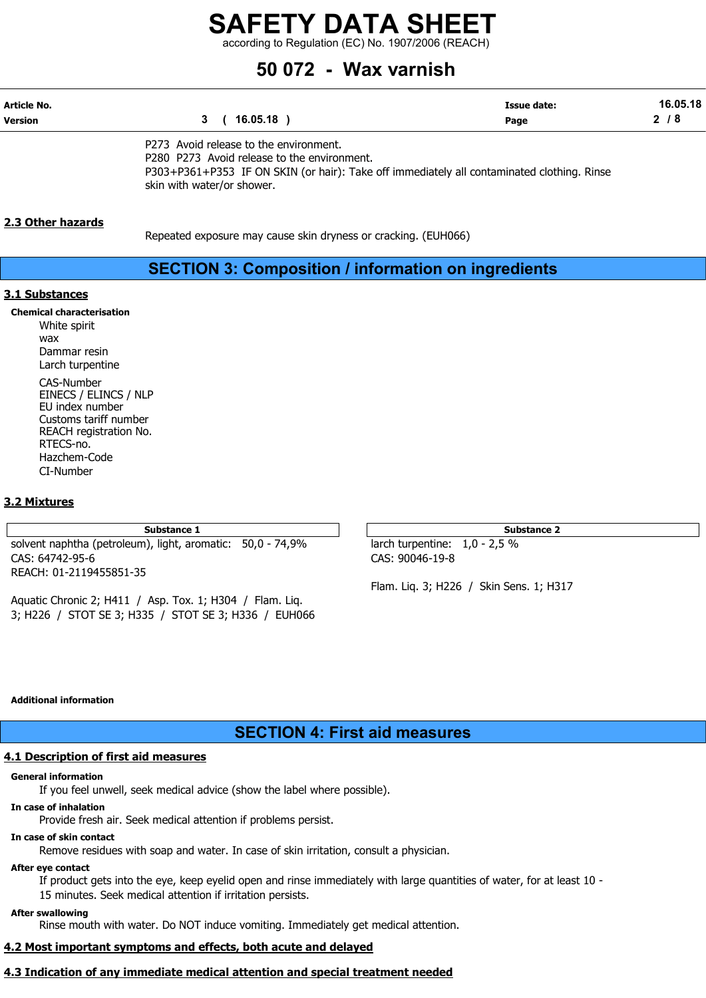according to Regulation (EC) No. 1907/2006 (REACH)

### 50 072 - Wax varnish

| Article No. |          | Issue date: | 16.05.18 |
|-------------|----------|-------------|----------|
| Version     | 16.05.18 | Page        | ◠<br>o   |

P273 Avoid release to the environment. P280 P273 Avoid release to the environment. P303+P361+P353 IF ON SKIN (or hair): Take off immediately all contaminated clothing. Rinse skin with water/or shower.

### 2.3 Other hazards

Repeated exposure may cause skin dryness or cracking. (EUH066)

### SECTION 3: Composition / information on ingredients

### 3.1 Substances

Chemical characterisation White spirit wax Dammar resin Larch turpentine CAS-Number EINECS / ELINCS / NLP EU index number Customs tariff number REACH registration No. RTECS-no. Hazchem-Code CI-Number

### 3.2 Mixtures

solvent naphtha (petroleum), light, aromatic: 50,0 - 74,9% larch turpentine: 1,0 - 2,5 % CAS: 64742-95-6 CAS: 90046-19-8 REACH: 01-2119455851-35

Aquatic Chronic 2; H411 / Asp. Tox. 1; H304 / Flam. Liq. 3; H226 / STOT SE 3; H335 / STOT SE 3; H336 / EUH066

Substance 1 Substance 2

Flam. Liq. 3; H226 / Skin Sens. 1; H317

### Additional information

### SECTION 4: First aid measures

### 4.1 Description of first aid measures

### General information

If you feel unwell, seek medical advice (show the label where possible).

### In case of inhalation

Provide fresh air. Seek medical attention if problems persist.

### In case of skin contact

Remove residues with soap and water. In case of skin irritation, consult a physician.

### After eye contact

If product gets into the eye, keep eyelid open and rinse immediately with large quantities of water, for at least 10 - 15 minutes. Seek medical attention if irritation persists.

### After swallowing

Rinse mouth with water. Do NOT induce vomiting. Immediately get medical attention.

### 4.2 Most important symptoms and effects, both acute and delayed

### 4.3 Indication of any immediate medical attention and special treatment needed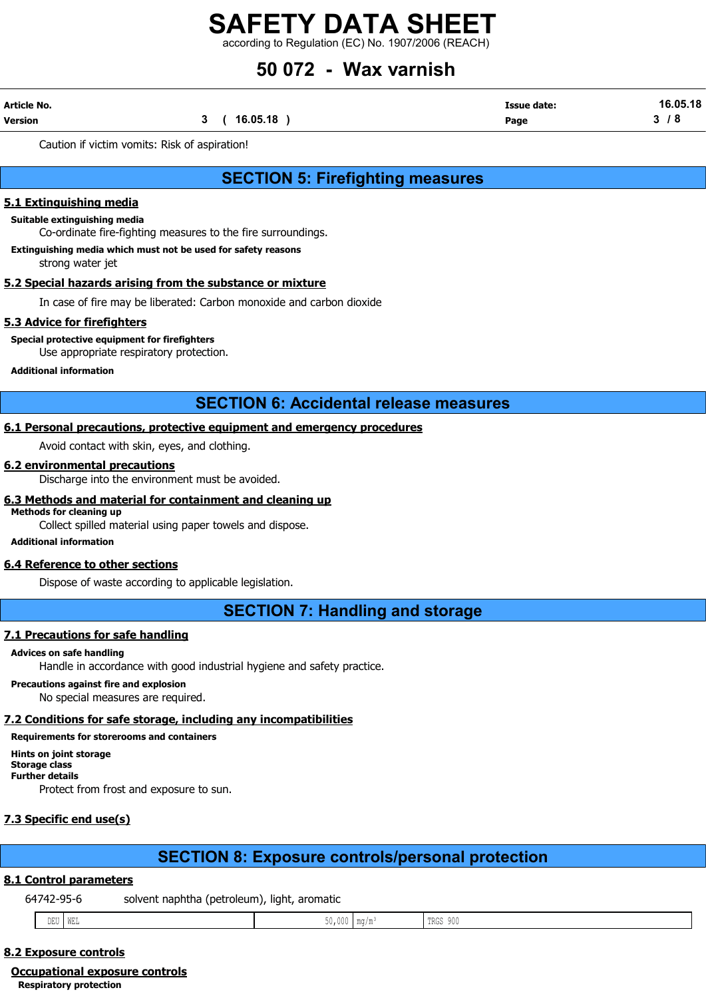according to Regulation (EC) No. 1907/2006 (REACH)

## 50 072 - Wax varnish

| Article No. |              | <b>Issue date:</b> | 16.05.18 |
|-------------|--------------|--------------------|----------|
| Version     | 3 ( 16.05.18 | Page               | / 8      |

Caution if victim vomits: Risk of aspiration!

### SECTION 5: Firefighting measures

### 5.1 Extinguishing media

### Suitable extinguishing media

Co-ordinate fire-fighting measures to the fire surroundings.

### Extinguishing media which must not be used for safety reasons

strong water jet

### 5.2 Special hazards arising from the substance or mixture

In case of fire may be liberated: Carbon monoxide and carbon dioxide

### 5.3 Advice for firefighters

### Special protective equipment for firefighters

Use appropriate respiratory protection.

### Additional information

### SECTION 6: Accidental release measures

### 6.1 Personal precautions, protective equipment and emergency procedures

Avoid contact with skin, eyes, and clothing.

### 6.2 environmental precautions

Discharge into the environment must be avoided.

#### 6.3 Methods and material for containment and cleaning up Methods for cleaning up

Collect spilled material using paper towels and dispose.

### Additional information

### 6.4 Reference to other sections

Dispose of waste according to applicable legislation.

SECTION 7: Handling and storage

### 7.1 Precautions for safe handling

### Advices on safe handling

Handle in accordance with good industrial hygiene and safety practice.

Precautions against fire and explosion

No special measures are required.

### 7.2 Conditions for safe storage, including any incompatibilities

Requirements for storerooms and containers Hints on joint storage

Storage class Further details

Protect from frost and exposure to sun.

### 7.3 Specific end use(s)

### SECTION 8: Exposure controls/personal protection

### 8.1 Control parameters

64742-95-6 solvent naphtha (petroleum), light, aromatic

| and the contract of the contract of the contract of the contract of the contract of the contract of the contract of the contract of the contract of the contract of the contract of the contract of the contract of the contra<br>.<br>- -<br>TRGS 900<br>$- - - -$<br>$\mathsf{Im}(q/\mathfrak{m})$<br>ىنىت ۱۷<br>∪⊔ש<br>. |
|-----------------------------------------------------------------------------------------------------------------------------------------------------------------------------------------------------------------------------------------------------------------------------------------------------------------------------|
|-----------------------------------------------------------------------------------------------------------------------------------------------------------------------------------------------------------------------------------------------------------------------------------------------------------------------------|

### 8.2 Exposure controls

### Occupational exposure controls

Respiratory protection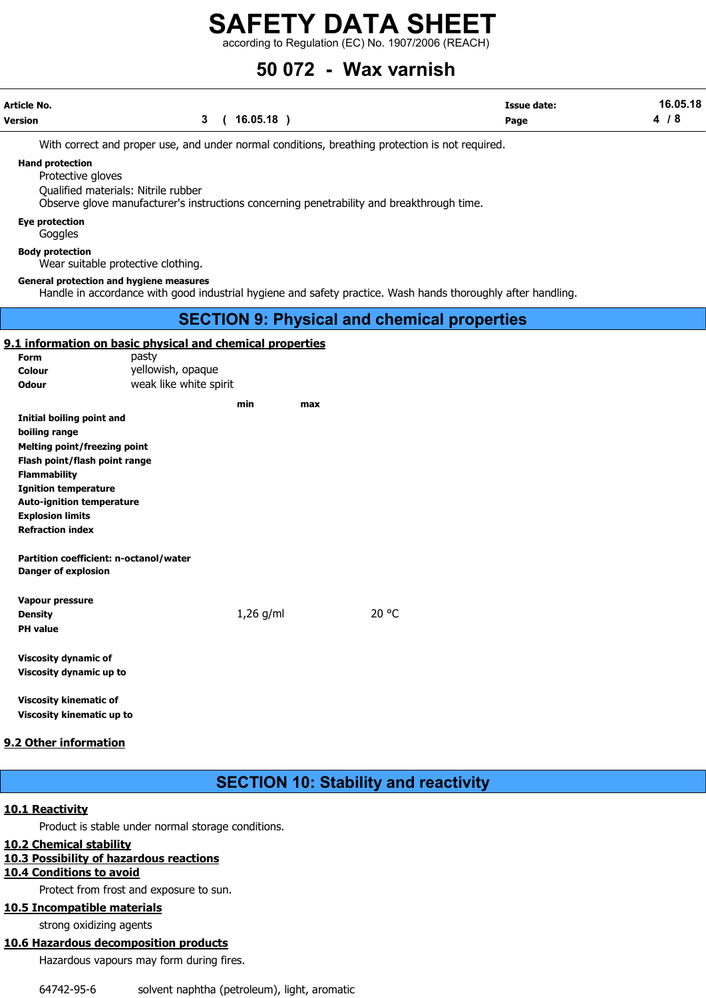according to Regulation (EC) No. 1907/2006 (REACH)

### 50 072 - Wax varnish

| Article No.                                 |  | Issue date:                                                                                     | 16.05.18 |     |
|---------------------------------------------|--|-------------------------------------------------------------------------------------------------|----------|-----|
| Version                                     |  | 16.05.18                                                                                        | Page     | 4/8 |
|                                             |  | With correct and proper use, and under normal conditions, breathing protection is not required. |          |     |
| <b>Hand protection</b><br>Protective gloves |  |                                                                                                 |          |     |

Qualified materials: Nitrile rubber

Observe glove manufacturer's instructions concerning penetrability and breakthrough time.

#### Eye protection

**Goggles** 

#### Body protection

Wear suitable protective clothing.

#### General protection and hygiene measures

Handle in accordance with good industrial hygiene and safety practice. Wash hands thoroughly after handling.

### SECTION 9: Physical and chemical properties

### 9.1 information on basic physical and chemical properties

| Form                             | pasty                  |     |     |
|----------------------------------|------------------------|-----|-----|
| Colour                           | yellowish, opaque      |     |     |
| Odour                            | weak like white spirit |     |     |
|                                  |                        | min | max |
| Initial boiling point and        |                        |     |     |
| boiling range                    |                        |     |     |
| Melting point/freezing point     |                        |     |     |
| Flash point/flash point range    |                        |     |     |
| <b>Flammability</b>              |                        |     |     |
| <b>Ignition temperature</b>      |                        |     |     |
| <b>Auto-ignition temperature</b> |                        |     |     |

Explosion limits Refraction index

Partition coefficient: n-octanol/water Danger of explosion

| Vapour pressure         |             |       |
|-------------------------|-------------|-------|
| Density                 | $1,26$ g/ml | 20 °C |
| PH value                |             |       |
| Viscosity dynamic of    |             |       |
| Viscosity dynamic up to |             |       |
|                         |             |       |

Viscosity kinematic of Viscosity kinematic up to

### 9.2 Other information

### SECTION 10: Stability and reactivity

### 10.1 Reactivity

Product is stable under normal storage conditions.

### 10.2 Chemical stability

### 10.3 Possibility of hazardous reactions

### 10.4 Conditions to avoid

Protect from frost and exposure to sun.

### 10.5 Incompatible materials

strong oxidizing agents

### 10.6 Hazardous decomposition products

Hazardous vapours may form during fires.

64742-95-6 solvent naphtha (petroleum), light, aromatic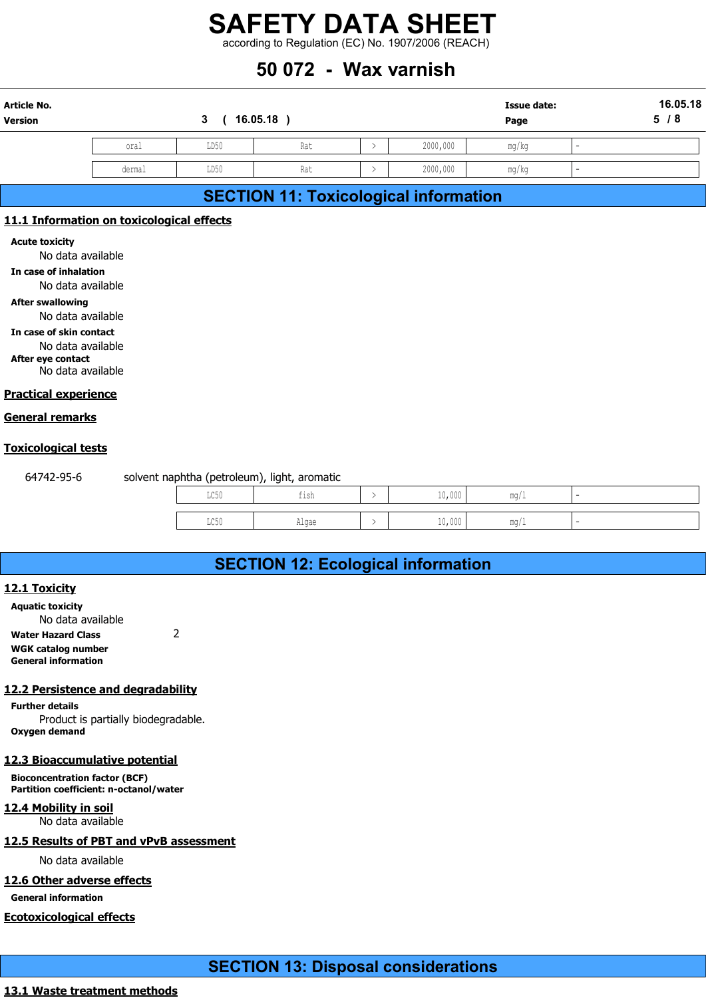### 50 072 - Wax varnish

|                                            |                                           |                             |                                              |               | <b>SAFETY DATA SHEET</b>                           |                    |     |          |
|--------------------------------------------|-------------------------------------------|-----------------------------|----------------------------------------------|---------------|----------------------------------------------------|--------------------|-----|----------|
|                                            |                                           |                             |                                              |               | according to Regulation (EC) No. 1907/2006 (REACH) |                    |     |          |
|                                            |                                           |                             | 50 072 - Wax varnish                         |               |                                                    |                    |     |          |
| <b>Article No.</b>                         |                                           |                             |                                              |               |                                                    | <b>Issue date:</b> |     | 16.05.18 |
| Version                                    |                                           | 16.05.18)<br>3 <sup>1</sup> |                                              |               |                                                    | Page               | 5/8 |          |
|                                            | oral                                      | LD50                        | Rat                                          | $\rightarrow$ | 2000,000                                           | mg/kg              |     |          |
|                                            | dermal                                    | LD50                        | Rat                                          |               | 2000,000                                           | mg/kg              |     |          |
|                                            |                                           |                             |                                              |               |                                                    |                    |     |          |
|                                            |                                           |                             | <b>SECTION 11: Toxicological information</b> |               |                                                    |                    |     |          |
|                                            | 11.1 Information on toxicological effects |                             |                                              |               |                                                    |                    |     |          |
| <b>Acute toxicity</b><br>No data available |                                           |                             |                                              |               |                                                    |                    |     |          |

### SECTION 11: Toxicological information

### 11.1 Information on toxicological effects

In case of inhalation

No data available

After swallowing No data available

In case of skin contact No data available

After eye contact

No data available

### Practical experience

### General remarks

### Toxicological tests

| <b>Information on toxicological effects</b>                                     |      |                                              |               |        |      |                          |  |
|---------------------------------------------------------------------------------|------|----------------------------------------------|---------------|--------|------|--------------------------|--|
| ite toxicity<br>No data available                                               |      |                                              |               |        |      |                          |  |
| case of inhalation<br>No data available                                         |      |                                              |               |        |      |                          |  |
| er swallowing<br>No data available<br>case of skin contact<br>No data available |      |                                              |               |        |      |                          |  |
| er eye contact<br>No data available                                             |      |                                              |               |        |      |                          |  |
| <u>ctical experience</u>                                                        |      |                                              |               |        |      |                          |  |
| <u>eral remarks</u>                                                             |      |                                              |               |        |      |                          |  |
| <u>icological tests</u>                                                         |      |                                              |               |        |      |                          |  |
| 64742-95-6                                                                      |      | solvent naphtha (petroleum), light, aromatic |               |        |      |                          |  |
|                                                                                 | LC50 | fish                                         | ↘             | 10,000 | mg/1 |                          |  |
|                                                                                 | LC50 | Algae                                        | $\rightarrow$ | 10,000 | mg/1 | $\overline{\phantom{a}}$ |  |
|                                                                                 |      |                                              |               |        |      |                          |  |
|                                                                                 |      | <b>SECTION 12: Ecological information</b>    |               |        |      |                          |  |
| <u>l Toxicity</u>                                                               |      |                                              |               |        |      |                          |  |
| uatic toxicity<br>No data available                                             |      |                                              |               |        |      |                          |  |

### SECTION 12: Ecological information

### 12.1 Toxicity

Aquatic toxicity No data available Water Hazard Class 2 WGK catalog number General information

### 12.2 Persistence and degradability

Further details Product is partially biodegradable. Oxygen demand

### 12.3 Bioaccumulative potential

Bioconcentration factor (BCF) Partition coefficient: n-octanol/water

### 12.4 Mobility in soil

No data available

### 12.5 Results of PBT and vPvB assessment

No data available

### 12.6 Other adverse effects

General information

### Ecotoxicological effects

### SECTION 13: Disposal considerations

### 13.1 Waste treatment methods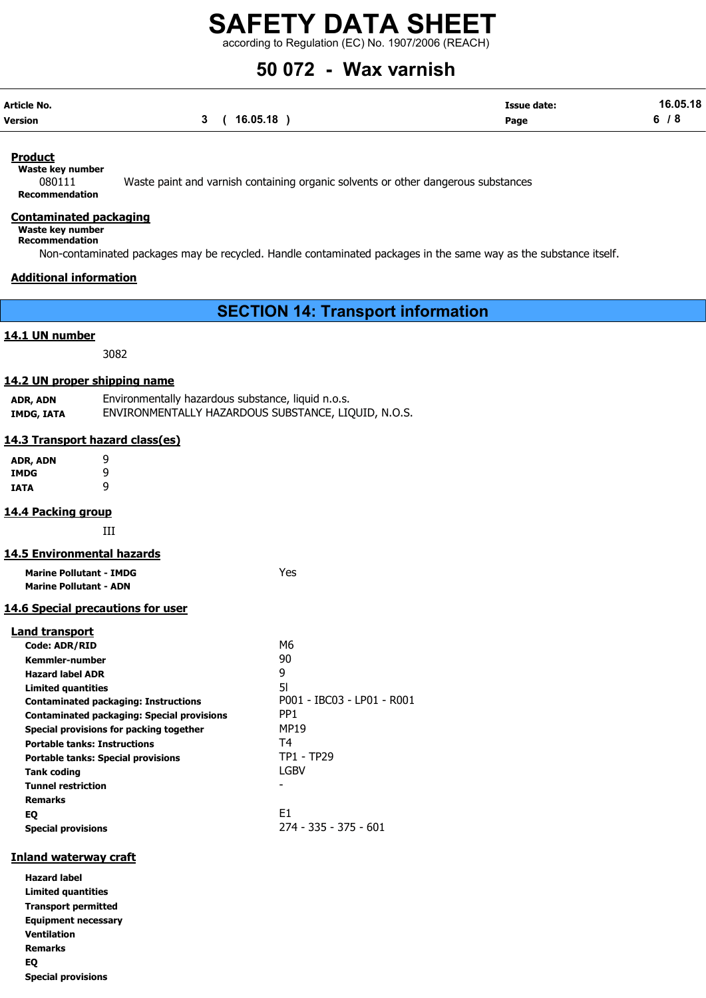according to Regulation (EC) No. 1907/2006 (REACH)

## 50 072 - Wax varnish

| Article No. |             | <b>Issue date:</b> | 16.05.18 |
|-------------|-------------|--------------------|----------|
| Version     | 3(16.05.18) | Page               | 6/8      |

### Product

Waste key number

080111 Waste paint and varnish containing organic solvents or other dangerous substances Recommendation

### Contaminated packaging

Waste key number

Recommendation

Non-contaminated packages may be recycled. Handle contaminated packages in the same way as the substance itself.

### Additional information

SECTION 14: Transport information

### 14.1 UN number

3082

### 14.2 UN proper shipping name

| ADR, ADN   | Environmentally hazardous substance, liquid n.o.s.  |
|------------|-----------------------------------------------------|
| IMDG, IATA | ENVIRONMENTALLY HAZARDOUS SUBSTANCE, LIQUID, N.O.S. |

### 14.3 Transport hazard class(es)

ADR, ADN 9 IMDG 9 IATA 9

### 14.4 Packing group

III

### 14.5 Environmental hazards

| <b>Marine Pollutant - IMDG</b><br><b>Marine Pollutant - ADN</b> | Yes |
|-----------------------------------------------------------------|-----|
| <b>14.6 Special precautions for user</b>                        |     |

### Land transport

| M6                         |
|----------------------------|
| 90                         |
| 9                          |
| 51                         |
| P001 - IBC03 - LP01 - R001 |
| PP <sub>1</sub>            |
| <b>MP19</b>                |
| T4                         |
| <b>TP1 - TP29</b>          |
| LGBV                       |
|                            |
|                            |
| E1                         |
| 274 - 335 - 375 - 601      |
|                            |

### Inland waterway craft

Hazard label Limited quantities Transport permitted Equipment necessary Ventilation Remarks EQ Special provisions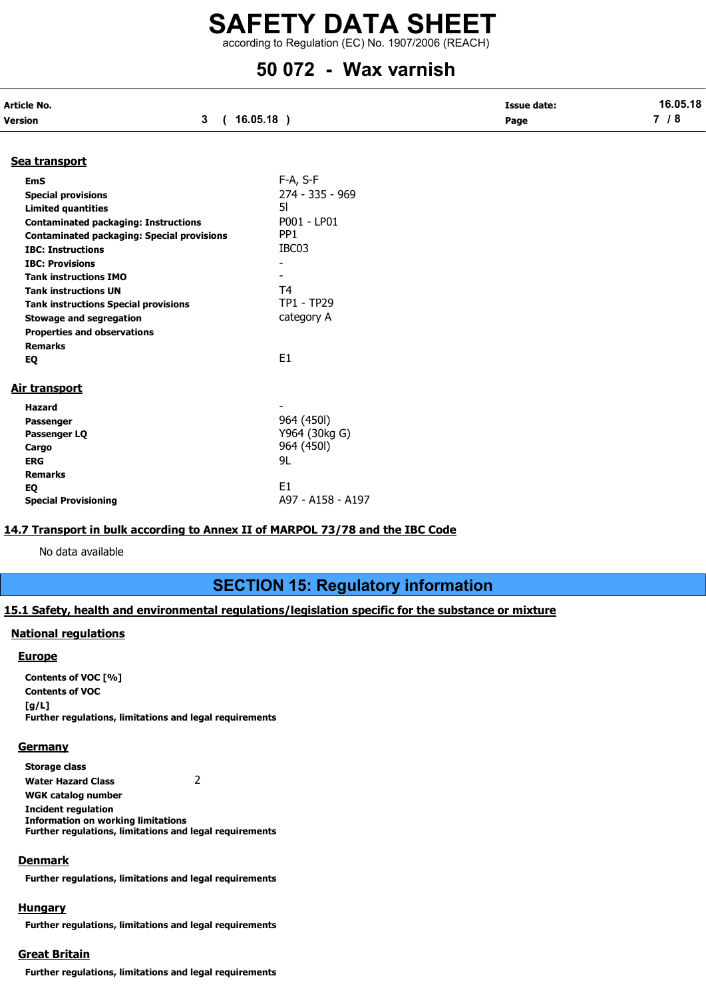according to Regulation (EC) No. 1907/2006 (REACH)

### 50 072 - Wax varnish

| Article No.                                       | <b>Issue date:</b>       | 16.05.18 |       |
|---------------------------------------------------|--------------------------|----------|-------|
| $3^{\circ}$<br>Version                            | (16.05.18)               | Page     | $7/8$ |
| Sea transport                                     |                          |          |       |
| <b>EmS</b>                                        | F-A, S-F                 |          |       |
| <b>Special provisions</b>                         | 274 - 335 - 969          |          |       |
| <b>Limited quantities</b>                         | 51                       |          |       |
| <b>Contaminated packaging: Instructions</b>       | P001 - LP01              |          |       |
| <b>Contaminated packaging: Special provisions</b> | PP <sub>1</sub>          |          |       |
| <b>IBC: Instructions</b>                          | IBC03                    |          |       |
| <b>IBC: Provisions</b>                            |                          |          |       |
| <b>Tank instructions IMO</b>                      | $\overline{\phantom{0}}$ |          |       |
| <b>Tank instructions UN</b>                       | T <sub>4</sub>           |          |       |
| <b>Tank instructions Special provisions</b>       | TP1 - TP29               |          |       |
| <b>Stowage and segregation</b>                    | category A               |          |       |
| <b>Properties and observations</b>                |                          |          |       |
| <b>Remarks</b>                                    |                          |          |       |
| EQ                                                | E <sub>1</sub>           |          |       |
| Air transport                                     |                          |          |       |
| <b>Hazard</b>                                     | $\overline{\phantom{a}}$ |          |       |
| Passenger                                         | 964 (450I)               |          |       |
| Passenger LQ                                      | Y964 (30kg G)            |          |       |
| Cargo                                             | 964 (450l)               |          |       |
| <b>ERG</b>                                        | 9L                       |          |       |
| <b>Remarks</b>                                    |                          |          |       |
| EQ                                                | E <sub>1</sub>           |          |       |
| <b>Special Provisioning</b>                       | A97 - A158 - A197        |          |       |

### 14.7 Transport in bulk according to Annex II of MARPOL 73/78 and the IBC Code

No data available

### SECTION 15: Regulatory information

### 15.1 Safety, health and environmental regulations/legislation specific for the substance or mixture

### National regulations

### **Europe**

Contents of VOC [%] Contents of VOC  $[g/L]$ Further regulations, limitations and legal requirements

### **Germany**

Storage class Water Hazard Class 2 WGK catalog number Incident regulation Information on working limitations

Further regulations, limitations and legal requirements

### **Denmark**

Further regulations, limitations and legal requirements

### **Hungary**

Further regulations, limitations and legal requirements

### Great Britain

Further regulations, limitations and legal requirements